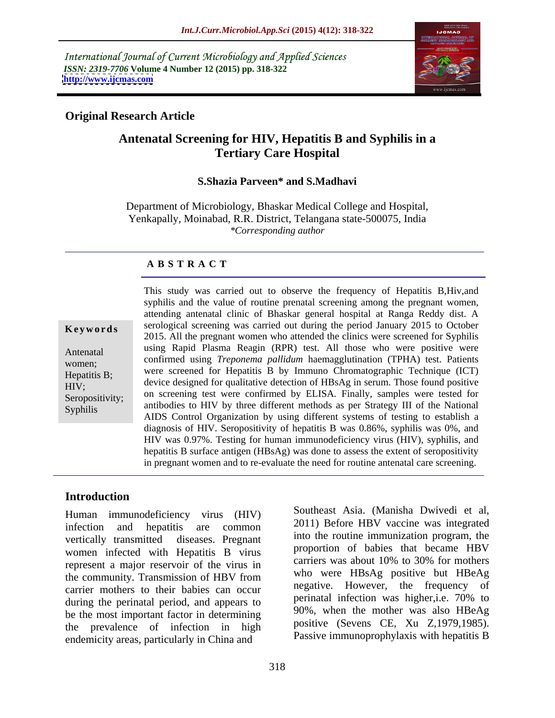International Journal of Current Microbiology and Applied Sciences *ISSN: 2319-7706* **Volume 4 Number 12 (2015) pp. 318-322 <http://www.ijcmas.com>**



## **Original Research Article**

# **Antenatal Screening for HIV, Hepatitis B and Syphilis in a Tertiary Care Hospital**

### **S.Shazia Parveen\* and S.Madhavi**

Department of Microbiology, Bhaskar Medical College and Hospital, Yenkapally, Moinabad, R.R. District, Telangana state-500075, India *\*Corresponding author*

### **A B S T R A C T**

Syphilis

This study was carried out to observe the frequency of Hepatitis B, Hiv, and syphilis and the value of routine prenatal screening among the pregnant women, attending antenatal clinic of Bhaskar general hospital at Ranga Reddy dist. A **Keywords** serological screening was carried out during the period January 2015 to October 2015. All the pregnant women who attended the clinics were screened for Syphilis Antenatal using Rapid Plasma Reagin (RPR) test. All those who were positive were confirmed using *Treponema pallidum* haemagglutination (TPHA) test. Patients women; were screened for Hepatitis B by Immuno Chromatographic Technique (ICT) Hepatitis B;<br>https://device.designed for qualitative detection of HBsAg in serum. Those found positive Seropositivity; on screening test were confirmed by ELISA. Finally, samples were tested for antibodies to HIV by three different methods as per Strategy III of the National AIDS Control Organization by using different systems of testing to establish a diagnosis of HIV. Seropositivity of hepatitis B was 0.86%, syphilis was 0%, and HIV was 0.97%. Testing for human immunodeficiency virus (HIV), syphilis, and hepatitis B surface antigen (HBsAg) was done to assess the extent of seropositivity in pregnant women and to re-evaluate the need for routine antenatal care screening.  $HIV$ ; device designed for quantally detection of  $HISAB$  in serum. Those found positive

### **Introduction**

Human immunodeficiency virus (HIV) infection and hepatitis are common  $2011$  before HBV vaccine was integrated vertically transmitted diseases. Pregnant and the routine immunization program, the women infected with Hepatitis B virus represent a major reservoir of the virus in the community. Transmission of HBV from carrier mothers to their babies can occur<br>during the perinatel period and appears to the perinatel infection was higher, i.e. 70% to during the perinatal period, and appears to be the most important factor in determining<br>the prevalence of infection in high positive (Sevens CE, Xu Z,1979,1985). the prevalence of infection in high  $\frac{1}{2}$  positive (Sevens CE, Au 2,1979,1985).<br>Passive immunoprophylaxis with hepatitis B endemicity areas, particularly in China and

Southeast Asia. (Manisha Dwivedi et al, 2011) Before HBV vaccine was integrated into the routine immunization program, the proportion of babies that became HBV carriers was about 10% to 30% for mothers who were HBsAg positive but HBeAg negative. However, the frequency of perinatal infection was higher,i.e. 70% to 90%, when the mother was also HBeAg positive (Sevens CE, Xu Z,1979,1985). Passive immunoprophylaxis with hepatitis <sup>B</sup>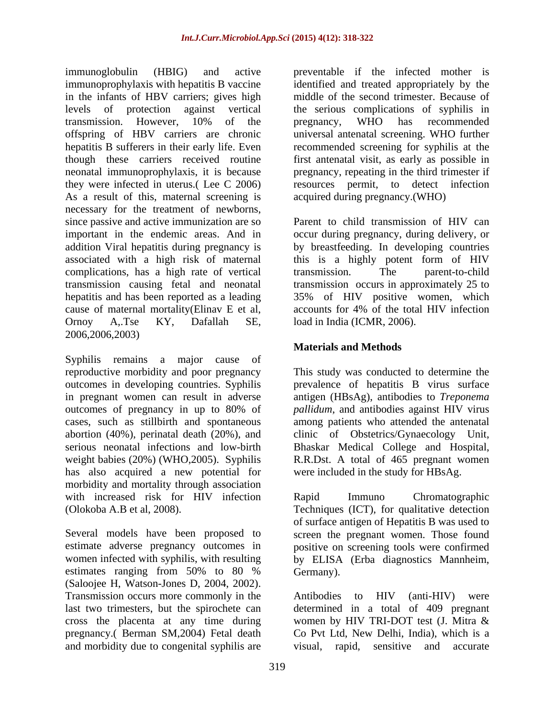immunoglobulin (HBIG) and active preventable if the infected mother is immunoprophylaxis with hepatitis B vaccine in the infants of HBV carriers; gives high levels of protection against vertical the serious complications of syphilis in transmission. However, 10% of the offspring of HBV carriers are chronic hepatitis B sufferers in their early life. Even recommended screening for syphilis at the though these carriers received routine first antenatal visit, as early as possible in neonatal immunoprophylaxis, it is because they were infected in uterus.( Lee C 2006) As a result of this, maternal screening is necessary for the treatment of newborns, since passive and active immunization are so Parent to child transmission of HIV can important in the endemic areas. And in occur during pregnancy, during delivery, or addition Viral hepatitis during pregnancy is associated with a high risk of maternal this is a highly potent form of HIV complications, has a high rate of vertical transmission causing fetal and neonatal transmission occurs in approximately 25 to hepatitis and has been reported as a leading 35% of HIV positive women, which cause of maternal mortality(Elinav E et al, Ornoy A,.Tse KY, Dafallah SE, load in India (ICMR, 2006). 2006,2006,2003)

Syphilis remains a major cause of reproductive morbidity and poor pregnancy This study was conducted to determine the outcomes in developing countries. Syphilis prevalence of hepatitis B virus surface in pregnant women can result in adverse antigen (HBsAg), antibodies to *Treponema*  outcomes of pregnancy in up to 80% of pallidum, and antibodies against HIV virus cases, such as stillbirth and spontaneous among patients who attended the antenatal abortion (40%), perinatal death (20%), and clinic of Obstetrics/Gynaecology Unit, serious neonatal infections and low-birth Bhaskar Medical College and Hospital, weight babies (20%) (WHO,2005). Syphilis has also acquired a new potential for morbidity and mortality through association with increased risk for HIV infection Rapid Immuno Chromatographic

Several models have been proposed to screen the pregnant women. Those found estimate adverse pregnancy outcomes in positive on screening tools were confirmed women infected with syphilis, with resulting by ELISA (Erba diagnostics Mannheim, estimates ranging from 50% to 80 % Germany). (Saloojee H, Watson-Jones D, 2004, 2002).<br>Transmission occurs more commonly in the Antibodies to HIV (anti-HIV) were last two trimesters, but the spirochete can determined in a total of 409 pregnant cross the placenta at any time during women by HIV TRI-DOT test (J. Mitra & pregnancy.( Berman SM,2004) Fetal death Co Pvt Ltd, New Delhi, India), which is a and morbidity due to congenital syphilis are visual, rapid, sensitive and accurate

identified and treated appropriately by the middle of the second trimester. Because of pregnancy, WHO has recommended universal antenatal screening. WHO further pregnancy, repeating in the third trimester if resources permit, to detect infection acquired during pregnancy.(WHO)

by breastfeeding. In developing countries transmission. The parent-to-child accounts for 4% of the total HIV infection

# **Materials and Methods**

*pallidum*, and antibodies against HIV virus R.R.Dst. A total of 465 pregnant women were included in the study for HBsAg.

(Olokoba A.B et al, 2008). Techniques (ICT), for qualitative detection Rapid Immuno Chromatographic of surface antigen of Hepatitis B was used to Germany).

> Antibodies to HIV (anti-HIV) were visual, rapid, sensitive and accurate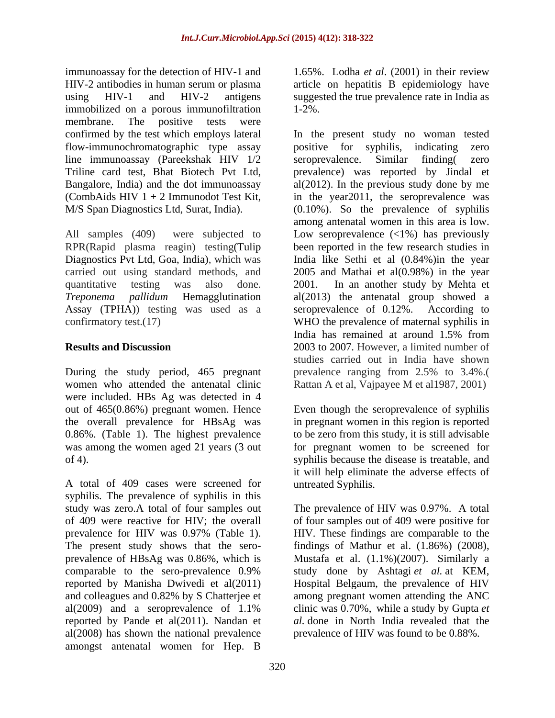immunoassay for the detection of HIV-1 and 1.65%. Lodha *et al*. (2001) in their review HIV-2 antibodies in human serum or plasma article on hepatitis B epidemiology have using HIV-1 and HIV-2 antigens suggested the true prevalence rate in India as immobilized on a porous immunofiltration 1-2%. membrane. The positive tests were flow-immunochromatographic type assay positive for syphilis, indicating zero line immunoassay (Pareekshak HIV  $1/2$  seroprevalence. Similar finding zero

RPR(Rapid plasma reagin) testing(Tulip Assay (TPHA)) testing was used as a seroprevalence of 0.12%. According to

women who attended the antenatal clinic Rattan A et al, Vajpayee M et al1987, 2001) were included. HBs Ag was detected in 4

A total of 409 cases were screened for syphilis. The prevalence of syphilis in this study was zero.A total of four samples out The prevalence of HIV was 0.97%. A total of 409 were reactive for HIV; the overall of four samples out of 409 were positive for prevalence for HIV was 0.97% (Table 1). The present study shows that the sero prevalence of HBsAg was 0.86%, which is Mustafa et al. (1.1%)(2007). Similarly a comparable to the sero-prevalence 0.9% study done by Ashtagi *et al.* at KEM, reported by Manisha Dwivedi et al(2011) Hospital Belgaum, the prevalence of HIV and colleagues and 0.82% by S Chatterjee et among pregnant women attending the ANC al(2009) and a seroprevalence of 1.1% clinic was 0.70%, while a study by Gupta *et*  reported by Pande et al(2011). Nandan et *al.* done in North India revealed that the al(2008) has shown the national prevalence amongst antenatal women for Hep. B

1-2%.

confirmed by the test which employs lateral In the present study no woman tested Triline card test, Bhat Biotech Pvt Ltd, prevalence) was reported by Jindal et Bangalore, India) and the dot immunoassay al(2012). In the previous study done by me (CombAids HIV  $1 + 2$  Immunodot Test Kit, in the year 2011, the seroprevalence was M/S Span Diagnostics Ltd, Surat, India). (0.10%). So the prevalence of syphilis All samples (409) were subjected to Low seroprevalence (<1%) has previously Diagnostics Pvt Ltd, Goa, India), which was India like Sethi et al (0.84%)in the year carried out using standard methods, and 2005 and Mathai et al(0.98%) in the year quantitative testing was also done. 2001. In an another study by Mehta et *Treponema pallidum* Hemagglutination al(2013) the antenatal group showed a confirmatory test.(17) WHO the prevalence of maternal syphilis in **Results and Discussion** 2003 to 2007. However, a limited number of During the study period, 465 pregnant prevalence ranging from 2.5% to 3.4%.( positive for syphilis, indicating seroprevalence. Similar finding( zero among antenatal women in this area is low. been reported in the few research studies in seroprevalence of 0.12%. According to India has remained at around 1.5% from studies carried out in India have shown

out of 465(0.86%) pregnant women. Hence Even though the seroprevalence of syphilis the overall prevalence for HBsAg was in pregnant women in this region is reported 0.86%. (Table 1). The highest prevalence to be zero from this study, it is still advisable was among the women aged 21 years (3 out for pregnant women to be screened for of 4). syphilis because the disease is treatable, and it will help eliminate the adverse effects of untreated Syphilis.

> HIV. These findings are comparable to the findings of Mathur et al. (1.86%) (2008), study done by Ashtagi *et al.* at KEM, prevalence of HIV was found to be 0.88%.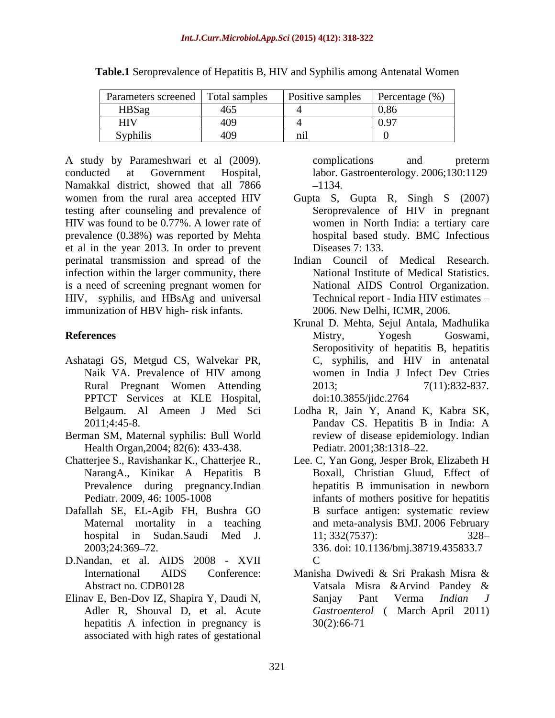| Parameters screened  | Total samples | Positive samples | Percentage (% |
|----------------------|---------------|------------------|---------------|
| HBSag                | 405           |                  |               |
| <b>HIV</b>           | サリン           |                  |               |
| $\cdots$<br>Syphilis | サリン           |                  |               |

**Table.1** Seroprevalence of Hepatitis B, HIV and Syphilis among Antenatal Women

A study by Parameshwari et al (2009). conducted at Government Hospital, labor. Gastroenterology. 2006;130:1129 Namakkal district, showed that all 7866 – 1134. women from the rural area accepted HIV Gupta S, Gupta R, Singh S (2007) testing after counseling and prevalence of HIV was found to be 0.77%. A lower rate of prevalence (0.38%) was reported by Mehta et al in the year 2013. In order to prevent perinatal transmission and spread of the infection within the larger community, there is a need of screening pregnant women for HIV, syphilis, and HBsAg and universal immunization of HBV high- risk infants.

- Ashatagi GS, Metgud CS, Walvekar PR, Rural Pregnant Women Attending PPTCT Services at KLE Hospital, doi:10.3855/jidc.2764
- Berman SM, Maternal syphilis: Bull World Health Organ,2004; 82(6): 433-438.
- Prevalence during pregnancy.Indian
- Dafallah SE, EL-Agib FH, Bushra GO
- D.Nandan, et al. AIDS 2008 XVII
- Elinav E, Ben-Dov IZ, Shapira Y, Daudi N, Sanjay Pant Verma *Indian J* hepatitis A infection in pregnancy is associated with high rates of gestational

complications and preterm 1134.

- Seroprevalence of HIV in pregnant women in North India: a tertiary care hospital based study. BMC Infectious Diseases 7: 133.
- Indian Council of Medical Research. National Institute of Medical Statistics. National AIDS Control Organization. Technical report - India HIV estimates 2006. New Delhi, ICMR, 2006.
- **References** Mistry, Yogesh Goswami, Naik VA. Prevalence of HIV among women in India J Infect Dev Ctries Krunal D. Mehta, Sejul Antala, Madhulika Mistry, Yogesh Goswami, Seropositivity of hepatitis B, hepatitis C, syphilis, and HIV in antenatal 2013; 7(11):832-837*.* doi:10.3855/jidc.2764
	- Belgaum. Al Ameen J Med Sci Lodha R, Jain Y, Anand K, Kabra SK, 2011;4:45-8. Pandav CS. Hepatitis B in India: A review of disease epidemiology. Indian Pediatr. 2001;38:1318-22.
- Chatterjee S., Ravishankar K., Chatterjee R., Lee. C, Yan Gong, Jesper Brok, Elizabeth H NarangA., Kinikar A Hepatitis B Boxall, Christian Gluud, Effect of Pediatr. 2009, 46: 1005-1008 infants of mothers positive for hepatitis Maternal mortality in a teaching and meta-analysis BMJ. 2006 February hospital in Sudan.Saudi Med J. 2003;24:369 72. 336. doi: 10.1136/bmj.38719.435833.7 hepatitis B immunisation in newborn B surface antigen: systematic review 11; 332(7537): 328  $\mathbf C$ 
	- International AIDS Conference: Manisha Dwivedi & Sri Prakash Misra & Abstract no. CDB0128 **Example 3** Vatsala Misra & Arvind Pandey & Adler R, Shouval D, et al. Acute *Gastroenterol* ( March April 2011) Manisha Dwivedi & Sri Prakash Misra & Vatsala Misra &Arvind Pandey & Sanjay Pant Verma *Indian J* 30(2):66-71